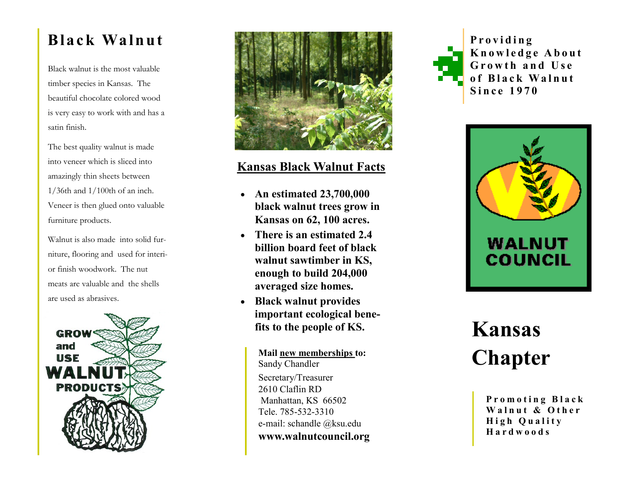Black walnut is the most valuable timber species in Kansas. The beautiful chocolate colored wood is very easy to work with and has a satin finish.

The best quality walnut is made into veneer which is sliced into amazingly thin sheets between 1/36th and 1/100th of an inch. Veneer is then glued onto valuable furniture products.

Walnut is also made into solid furniture, flooring and used for interior finish woodwork. The nut meats are valuable and the shells are used as abrasives.





# **Kansas Black Walnut Facts**

- **An estimated 23,700,000 black walnut trees grow in Kansas on 62, 100 acres.**
- **There is an estimated 2.4 billion board feet of black walnut sawtimber in KS, enough to build 204,000 averaged size homes.**
- **Black walnut provides important ecological benefits to the people of KS.**

Mail new memberships to:<br>
Sandy Chandler<br> **Chapter** Sandy Chandler Secretary/Treasurer 2610 Claflin RD Manhattan, KS 66502 Tele. 785 -532 -3310 e -mail: schandle @ksu.edu **www.walnutcouncil.org**



**K n o w l e d g e A b o u t**  Growth and Use **o f B l a c k Wa l n u t Since 1970** 



# **Kansas**

Promoting Black Walnut & Other **H i g h Q u a l i t y H a r d w o o d s**